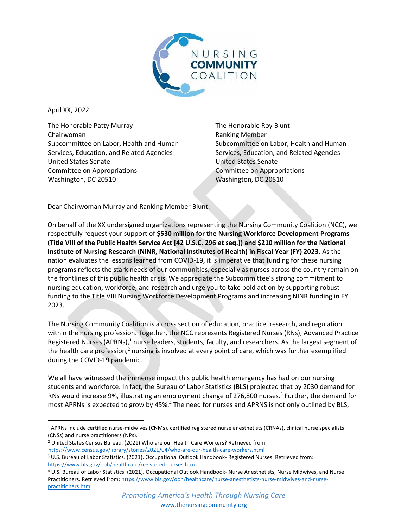

April XX, 2022

The Honorable Patty Murray Chairwoman Subcommittee on Labor, Health and Human Services, Education, and Related Agencies United States Senate Committee on Appropriations Washington, DC 20510

The Honorable Roy Blunt Ranking Member Subcommittee on Labor, Health and Human Services, Education, and Related Agencies United States Senate Committee on Appropriations Washington, DC 20510

Dear Chairwoman Murray and Ranking Member Blunt:

On behalf of the XX undersigned organizations representing the Nursing Community Coalition (NCC), we respectfully request your support of **\$530 million for the Nursing Workforce Development Programs (Title VIII of the Public Health Service Act [42 U.S.C. 296 et seq.]) and \$210 million for the National Institute of Nursing Research (NINR, National Institutes of Health) in Fiscal Year (FY) 2023**. As the nation evaluates the lessons learned from COVID-19, it is imperative that funding for these nursing programs reflects the stark needs of our communities, especially as nurses across the country remain on the frontlines of this public health crisis. We appreciate the Subcommittee's strong commitment to nursing education, workforce, and research and urge you to take bold action by supporting robust funding to the Title VIII Nursing Workforce Development Programs and increasing NINR funding in FY 2023.

The Nursing Community Coalition is a cross section of education, practice, research, and regulation within the nursing profession. Together, the NCC represents Registered Nurses (RNs), Advanced Practice Registered Nurses (APRNs),<sup>1</sup> nurse leaders, students, faculty, and researchers. As the largest segment of the health care profession,<sup>2</sup> nursing is involved at every point of care, which was further exemplified during the COVID-19 pandemic.

We all have witnessed the immense impact this public health emergency has had on our nursing students and workforce. In fact, the Bureau of Labor Statistics (BLS) projected that by 2030 demand for RNs would increase 9%, illustrating an employment change of 276,800 nurses. 3 Further, the demand for most APRNs is expected to grow by 45%.<sup>4</sup> The need for nurses and APRNS is not only outlined by BLS,

<sup>2</sup> United States Census Bureau. (2021) Who are our Health Care Workers? Retrieved from:

<https://www.census.gov/library/stories/2021/04/who-are-our-health-care-workers.html>

<sup>1</sup> APRNs include certified nurse-midwives (CNMs), certified registered nurse anesthetists (CRNAs), clinical nurse specialists (CNSs) and nurse practitioners (NPs).

<sup>3</sup> U.S. Bureau of Labor Statistics. (2021). Occupational Outlook Handbook- Registered Nurses. Retrieved from: <https://www.bls.gov/ooh/healthcare/registered-nurses.htm>

<sup>4</sup> U.S. Bureau of Labor Statistics. (2021). Occupational Outlook Handbook- Nurse Anesthetists, Nurse Midwives, and Nurse Practitioners. Retrieved from[: https://www.bls.gov/ooh/healthcare/nurse-anesthetists-nurse-midwives-and-nurse](https://www.bls.gov/ooh/healthcare/nurse-anesthetists-nurse-midwives-and-nurse-practitioners.htm)[practitioners.htm](https://www.bls.gov/ooh/healthcare/nurse-anesthetists-nurse-midwives-and-nurse-practitioners.htm)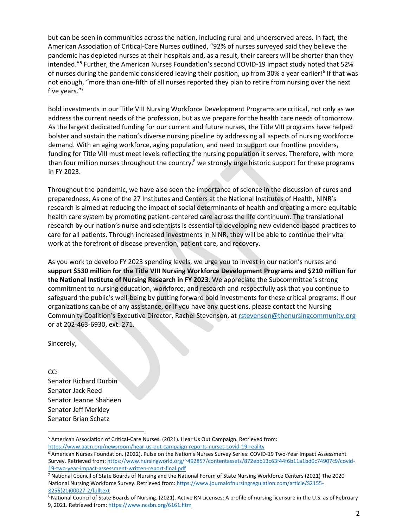but can be seen in communities across the nation, including rural and underserved areas. In fact, the American Association of Critical-Care Nurses outlined, "92% of nurses surveyed said they believe the pandemic has depleted nurses at their hospitals and, as a result, their careers will be shorter than they intended."<sup>5</sup> Further, the American Nurses Foundation's second COVID-19 impact study noted that 52% of nurses during the pandemic considered leaving their position, up from 30% a year earlier!<sup>6</sup> If that was not enough, "more than one-fifth of all nurses reported they plan to retire from nursing over the next five years." 7

Bold investments in our Title VIII Nursing Workforce Development Programs are critical, not only as we address the current needs of the profession, but as we prepare for the health care needs of tomorrow. As the largest dedicated funding for our current and future nurses, the Title VIII programs have helped bolster and sustain the nation's diverse nursing pipeline by addressing all aspects of nursing workforce demand. With an aging workforce, aging population, and need to support our frontline providers, funding for Title VIII must meet levels reflecting the nursing population it serves. Therefore, with more than four million nurses throughout the country,<sup>8</sup> we strongly urge historic support for these programs in FY 2023.

Throughout the pandemic, we have also seen the importance of science in the discussion of cures and preparedness. As one of the 27 Institutes and Centers at the National Institutes of Health, NINR's research is aimed at reducing the impact of social determinants of health and creating a more equitable health care system by promoting patient-centered care across the life continuum. The translational research by our nation's nurse and scientists is essential to developing new evidence-based practices to care for all patients. Through increased investments in NINR, they will be able to continue their vital work at the forefront of disease prevention, patient care, and recovery.

As you work to develop FY 2023 spending levels, we urge you to invest in our nation's nurses and **support \$530 million for the Title VIII Nursing Workforce Development Programs and \$210 million for the National Institute of Nursing Research in FY 2023**. We appreciate the Subcommittee's strong commitment to nursing education, workforce, and research and respectfully ask that you continue to safeguard the public's well-being by putting forward bold investments for these critical programs. If our organizations can be of any assistance, or if you have any questions, please contact the Nursing Community Coalition's Executive Director, Rachel Stevenson, at rstevenson@thenursingcommunity.org or at 202-463-6930, ext. 271.

Sincerely,

CC: Senator Richard Durbin Senator Jack Reed Senator Jeanne Shaheen Senator Jeff Merkley Senator Brian Schatz

<sup>5</sup> American Association of Critical-Care Nurses. (2021). Hear Us Out Campaign. Retrieved from: <https://www.aacn.org/newsroom/hear-us-out-campaign-reports-nurses-covid-19-reality>

<sup>6</sup> American Nurses Foundation. (2022). Pulse on the Nation's Nurses Survey Series: COVID-19 Two-Year Impact Assessment Survey. Retrieved from: [https://www.nursingworld.org/~492857/contentassets/872ebb13c63f44f6b11a1bd0c74907c9/covid-](https://www.nursingworld.org/~492857/contentassets/872ebb13c63f44f6b11a1bd0c74907c9/covid-19-two-year-impact-assessment-written-report-final.pdf)[19-two-year-impact-assessment-written-report-final.pdf](https://www.nursingworld.org/~492857/contentassets/872ebb13c63f44f6b11a1bd0c74907c9/covid-19-two-year-impact-assessment-written-report-final.pdf)

<sup>7</sup> National Council of State Boards of Nursing and the National Forum of State Nursing Workforce Centers (2021) The 2020 National Nursing Workforce Survey. Retrieved from[: https://www.journalofnursingregulation.com/article/S2155-](https://www.journalofnursingregulation.com/article/S2155-8256(21)00027-2/fulltext) [8256\(21\)00027-2/fulltext](https://www.journalofnursingregulation.com/article/S2155-8256(21)00027-2/fulltext)

<sup>8</sup> National Council of State Boards of Nursing. (2021). Active RN Licenses: A profile of nursing licensure in the U.S. as of February 9, 2021. Retrieved from:<https://www.ncsbn.org/6161.htm>